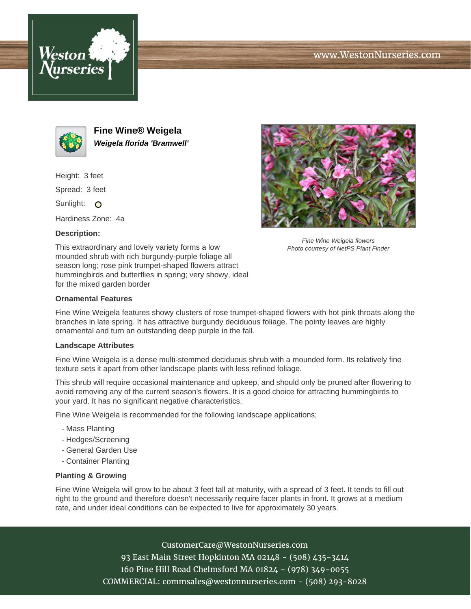





**Fine Wine® Weigela Weigela florida 'Bramwell'**

Height: 3 feet

Spread: 3 feet

Sunlight: O

Hardiness Zone: 4a

## **Description:**

This extraordinary and lovely variety forms a low mounded shrub with rich burgundy-purple foliage all season long; rose pink trumpet-shaped flowers attract hummingbirds and butterflies in spring; very showy, ideal for the mixed garden border



Fine Wine Weigela features showy clusters of rose trumpet-shaped flowers with hot pink throats along the branches in late spring. It has attractive burgundy deciduous foliage. The pointy leaves are highly ornamental and turn an outstanding deep purple in the fall.

## **Landscape Attributes**

Fine Wine Weigela is a dense multi-stemmed deciduous shrub with a mounded form. Its relatively fine texture sets it apart from other landscape plants with less refined foliage.

This shrub will require occasional maintenance and upkeep, and should only be pruned after flowering to avoid removing any of the current season's flowers. It is a good choice for attracting hummingbirds to your yard. It has no significant negative characteristics.

Fine Wine Weigela is recommended for the following landscape applications;

- Mass Planting
- Hedges/Screening
- General Garden Use
- Container Planting

## **Planting & Growing**

Fine Wine Weigela will grow to be about 3 feet tall at maturity, with a spread of 3 feet. It tends to fill out right to the ground and therefore doesn't necessarily require facer plants in front. It grows at a medium rate, and under ideal conditions can be expected to live for approximately 30 years.

CustomerCare@WestonNurseries.com

93 East Main Street Hopkinton MA 02148 - (508) 435-3414 160 Pine Hill Road Chelmsford MA 01824 - (978) 349-0055 COMMERCIAL: commsales@westonnurseries.com - (508) 293-8028



Fine Wine Weigela flowers Photo courtesy of NetPS Plant Finder